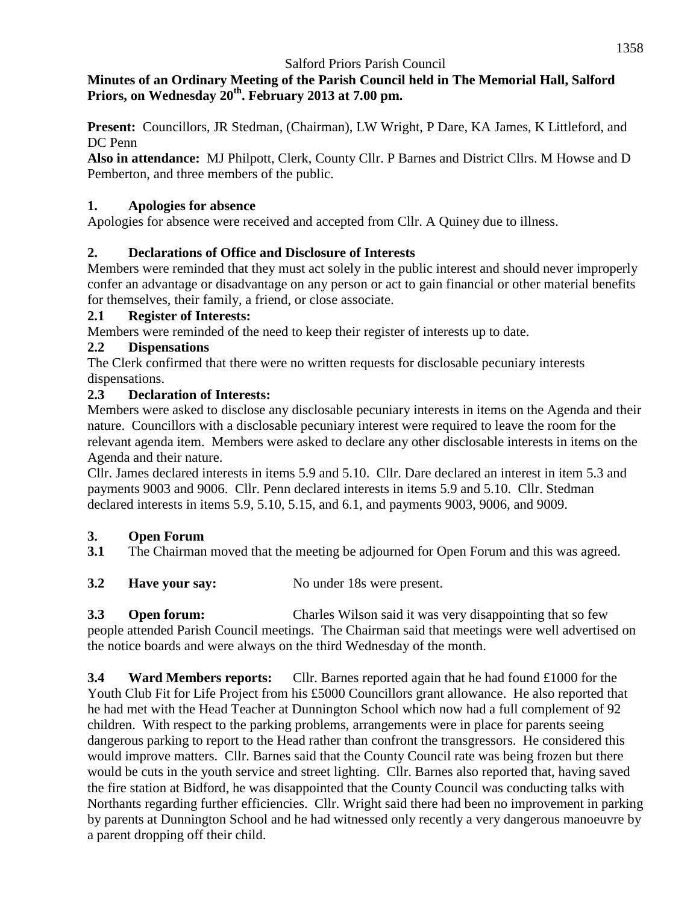### **Minutes of an Ordinary Meeting of the Parish Council held in The Memorial Hall, Salford Priors, on Wednesday 20th. February 2013 at 7.00 pm.**

**Present:** Councillors, JR Stedman, (Chairman), LW Wright, P Dare, KA James, K Littleford, and DC Penn

**Also in attendance:** MJ Philpott, Clerk, County Cllr. P Barnes and District Cllrs. M Howse and D Pemberton, and three members of the public.

### **1. Apologies for absence**

Apologies for absence were received and accepted from Cllr. A Quiney due to illness.

## **2. Declarations of Office and Disclosure of Interests**

Members were reminded that they must act solely in the public interest and should never improperly confer an advantage or disadvantage on any person or act to gain financial or other material benefits for themselves, their family, a friend, or close associate.

### **2.1 Register of Interests:**

Members were reminded of the need to keep their register of interests up to date.

### **2.2 Dispensations**

The Clerk confirmed that there were no written requests for disclosable pecuniary interests dispensations.

### **2.3 Declaration of Interests:**

Members were asked to disclose any disclosable pecuniary interests in items on the Agenda and their nature. Councillors with a disclosable pecuniary interest were required to leave the room for the relevant agenda item. Members were asked to declare any other disclosable interests in items on the Agenda and their nature.

Cllr. James declared interests in items 5.9 and 5.10. Cllr. Dare declared an interest in item 5.3 and payments 9003 and 9006. Cllr. Penn declared interests in items 5.9 and 5.10. Cllr. Stedman declared interests in items 5.9, 5.10, 5.15, and 6.1, and payments 9003, 9006, and 9009.

## **3. Open Forum**

**3.1** The Chairman moved that the meeting be adjourned for Open Forum and this was agreed.

**3.2 Have your say:** No under 18s were present.

**3.3 Open forum:** Charles Wilson said it was very disappointing that so few people attended Parish Council meetings. The Chairman said that meetings were well advertised on the notice boards and were always on the third Wednesday of the month.

**3.4 Ward Members reports:** Cllr. Barnes reported again that he had found £1000 for the Youth Club Fit for Life Project from his £5000 Councillors grant allowance. He also reported that he had met with the Head Teacher at Dunnington School which now had a full complement of 92 children. With respect to the parking problems, arrangements were in place for parents seeing dangerous parking to report to the Head rather than confront the transgressors. He considered this would improve matters. Cllr. Barnes said that the County Council rate was being frozen but there would be cuts in the youth service and street lighting. Cllr. Barnes also reported that, having saved the fire station at Bidford, he was disappointed that the County Council was conducting talks with Northants regarding further efficiencies. Cllr. Wright said there had been no improvement in parking by parents at Dunnington School and he had witnessed only recently a very dangerous manoeuvre by a parent dropping off their child.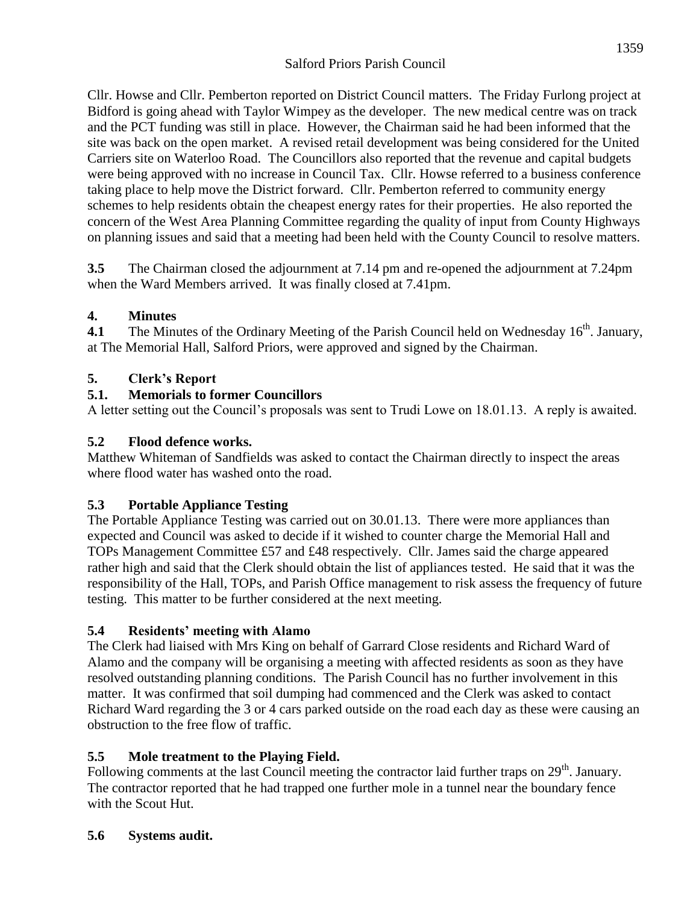Cllr. Howse and Cllr. Pemberton reported on District Council matters. The Friday Furlong project at Bidford is going ahead with Taylor Wimpey as the developer. The new medical centre was on track and the PCT funding was still in place. However, the Chairman said he had been informed that the site was back on the open market. A revised retail development was being considered for the United Carriers site on Waterloo Road. The Councillors also reported that the revenue and capital budgets were being approved with no increase in Council Tax. Cllr. Howse referred to a business conference taking place to help move the District forward. Cllr. Pemberton referred to community energy schemes to help residents obtain the cheapest energy rates for their properties. He also reported the concern of the West Area Planning Committee regarding the quality of input from County Highways on planning issues and said that a meeting had been held with the County Council to resolve matters.

**3.5** The Chairman closed the adjournment at 7.14 pm and re-opened the adjournment at 7.24pm when the Ward Members arrived. It was finally closed at 7.41pm.

#### **4. Minutes**

**4.1** The Minutes of the Ordinary Meeting of the Parish Council held on Wednesday 16<sup>th</sup>. January, at The Memorial Hall, Salford Priors, were approved and signed by the Chairman.

#### **5. Clerk's Report**

#### **5.1. Memorials to former Councillors**

A letter setting out the Council's proposals was sent to Trudi Lowe on 18.01.13. A reply is awaited.

#### **5.2 Flood defence works.**

Matthew Whiteman of Sandfields was asked to contact the Chairman directly to inspect the areas where flood water has washed onto the road.

### **5.3 Portable Appliance Testing**

The Portable Appliance Testing was carried out on 30.01.13. There were more appliances than expected and Council was asked to decide if it wished to counter charge the Memorial Hall and TOPs Management Committee £57 and £48 respectively. Cllr. James said the charge appeared rather high and said that the Clerk should obtain the list of appliances tested. He said that it was the responsibility of the Hall, TOPs, and Parish Office management to risk assess the frequency of future testing. This matter to be further considered at the next meeting.

#### **5.4 Residents' meeting with Alamo**

The Clerk had liaised with Mrs King on behalf of Garrard Close residents and Richard Ward of Alamo and the company will be organising a meeting with affected residents as soon as they have resolved outstanding planning conditions. The Parish Council has no further involvement in this matter. It was confirmed that soil dumping had commenced and the Clerk was asked to contact Richard Ward regarding the 3 or 4 cars parked outside on the road each day as these were causing an obstruction to the free flow of traffic.

### **5.5 Mole treatment to the Playing Field.**

Following comments at the last Council meeting the contractor laid further traps on  $29<sup>th</sup>$ . January. The contractor reported that he had trapped one further mole in a tunnel near the boundary fence with the Scout Hut.

#### **5.6 Systems audit.**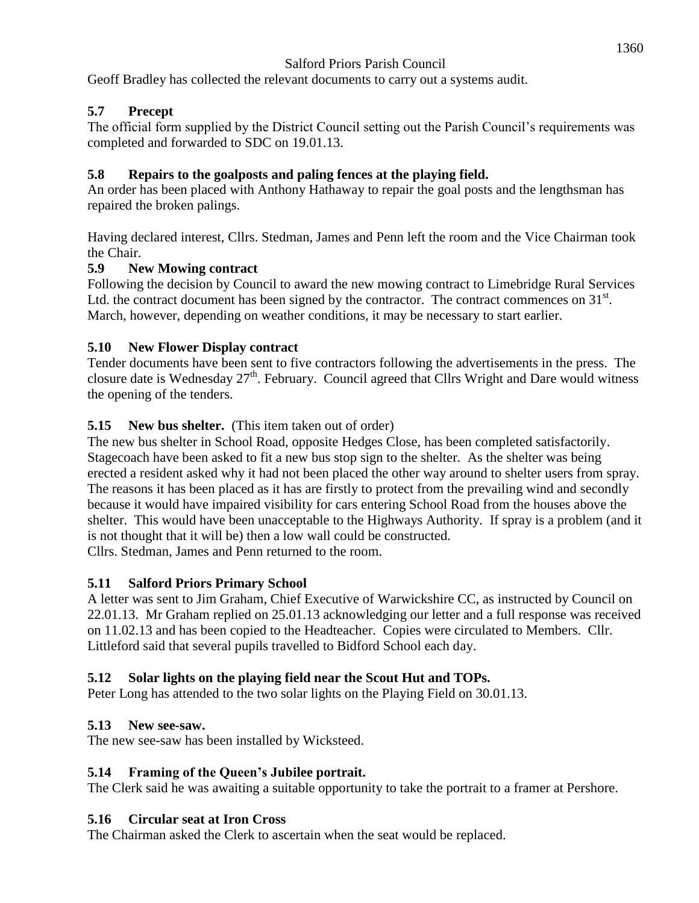Geoff Bradley has collected the relevant documents to carry out a systems audit.

### **5.7 Precept**

The official form supplied by the District Council setting out the Parish Council's requirements was completed and forwarded to SDC on 19.01.13.

#### **5.8 Repairs to the goalposts and paling fences at the playing field.**

An order has been placed with Anthony Hathaway to repair the goal posts and the lengthsman has repaired the broken palings.

Having declared interest, Cllrs. Stedman, James and Penn left the room and the Vice Chairman took the Chair.

#### **5.9 New Mowing contract**

Following the decision by Council to award the new mowing contract to Limebridge Rural Services Ltd. the contract document has been signed by the contractor. The contract commences on  $31<sup>st</sup>$ . March, however, depending on weather conditions, it may be necessary to start earlier.

### **5.10 New Flower Display contract**

Tender documents have been sent to five contractors following the advertisements in the press. The closure date is Wednesday 27<sup>th</sup>. February. Council agreed that Cllrs Wright and Dare would witness the opening of the tenders.

#### **5.15 New bus shelter.** (This item taken out of order)

The new bus shelter in School Road, opposite Hedges Close, has been completed satisfactorily. Stagecoach have been asked to fit a new bus stop sign to the shelter. As the shelter was being erected a resident asked why it had not been placed the other way around to shelter users from spray. The reasons it has been placed as it has are firstly to protect from the prevailing wind and secondly because it would have impaired visibility for cars entering School Road from the houses above the shelter. This would have been unacceptable to the Highways Authority. If spray is a problem (and it is not thought that it will be) then a low wall could be constructed. Cllrs. Stedman, James and Penn returned to the room.

**5.11 Salford Priors Primary School**

A letter was sent to Jim Graham, Chief Executive of Warwickshire CC, as instructed by Council on 22.01.13. Mr Graham replied on 25.01.13 acknowledging our letter and a full response was received on 11.02.13 and has been copied to the Headteacher. Copies were circulated to Members. Cllr. Littleford said that several pupils travelled to Bidford School each day.

### **5.12 Solar lights on the playing field near the Scout Hut and TOPs.**

Peter Long has attended to the two solar lights on the Playing Field on 30.01.13.

#### **5.13 New see-saw.**

The new see-saw has been installed by Wicksteed.

#### **5.14 Framing of the Queen's Jubilee portrait.**

The Clerk said he was awaiting a suitable opportunity to take the portrait to a framer at Pershore.

#### **5.16 Circular seat at Iron Cross**

The Chairman asked the Clerk to ascertain when the seat would be replaced.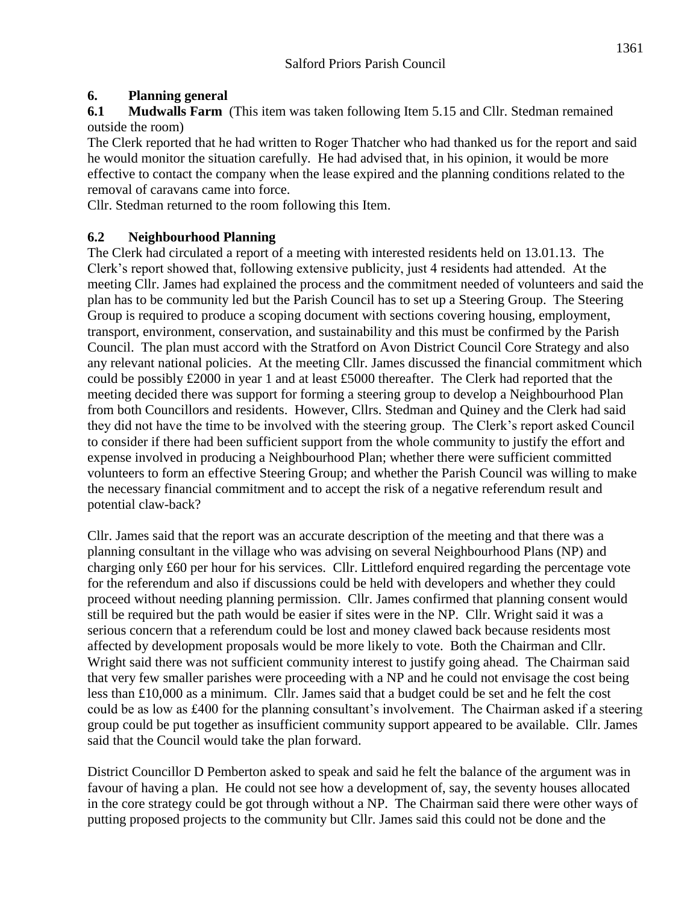## **6. Planning general**

**6.1 Mudwalls Farm** (This item was taken following Item 5.15 and Cllr. Stedman remained outside the room)

The Clerk reported that he had written to Roger Thatcher who had thanked us for the report and said he would monitor the situation carefully. He had advised that, in his opinion, it would be more effective to contact the company when the lease expired and the planning conditions related to the removal of caravans came into force.

Cllr. Stedman returned to the room following this Item.

#### **6.2 Neighbourhood Planning**

The Clerk had circulated a report of a meeting with interested residents held on 13.01.13. The Clerk's report showed that, following extensive publicity, just 4 residents had attended. At the meeting Cllr. James had explained the process and the commitment needed of volunteers and said the plan has to be community led but the Parish Council has to set up a Steering Group. The Steering Group is required to produce a scoping document with sections covering housing, employment, transport, environment, conservation, and sustainability and this must be confirmed by the Parish Council. The plan must accord with the Stratford on Avon District Council Core Strategy and also any relevant national policies. At the meeting Cllr. James discussed the financial commitment which could be possibly £2000 in year 1 and at least £5000 thereafter. The Clerk had reported that the meeting decided there was support for forming a steering group to develop a Neighbourhood Plan from both Councillors and residents. However, Cllrs. Stedman and Quiney and the Clerk had said they did not have the time to be involved with the steering group. The Clerk's report asked Council to consider if there had been sufficient support from the whole community to justify the effort and expense involved in producing a Neighbourhood Plan; whether there were sufficient committed volunteers to form an effective Steering Group; and whether the Parish Council was willing to make the necessary financial commitment and to accept the risk of a negative referendum result and potential claw-back?

Cllr. James said that the report was an accurate description of the meeting and that there was a planning consultant in the village who was advising on several Neighbourhood Plans (NP) and charging only £60 per hour for his services. Cllr. Littleford enquired regarding the percentage vote for the referendum and also if discussions could be held with developers and whether they could proceed without needing planning permission. Cllr. James confirmed that planning consent would still be required but the path would be easier if sites were in the NP. Cllr. Wright said it was a serious concern that a referendum could be lost and money clawed back because residents most affected by development proposals would be more likely to vote. Both the Chairman and Cllr. Wright said there was not sufficient community interest to justify going ahead. The Chairman said that very few smaller parishes were proceeding with a NP and he could not envisage the cost being less than £10,000 as a minimum. Cllr. James said that a budget could be set and he felt the cost could be as low as £400 for the planning consultant's involvement. The Chairman asked if a steering group could be put together as insufficient community support appeared to be available. Cllr. James said that the Council would take the plan forward.

District Councillor D Pemberton asked to speak and said he felt the balance of the argument was in favour of having a plan. He could not see how a development of, say, the seventy houses allocated in the core strategy could be got through without a NP. The Chairman said there were other ways of putting proposed projects to the community but Cllr. James said this could not be done and the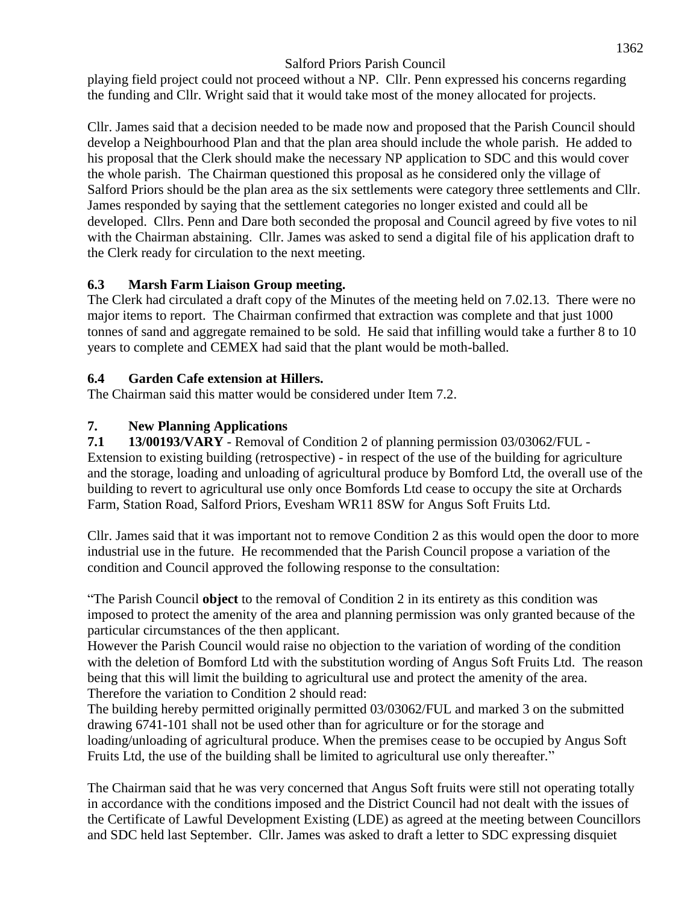playing field project could not proceed without a NP. Cllr. Penn expressed his concerns regarding the funding and Cllr. Wright said that it would take most of the money allocated for projects.

Cllr. James said that a decision needed to be made now and proposed that the Parish Council should develop a Neighbourhood Plan and that the plan area should include the whole parish. He added to his proposal that the Clerk should make the necessary NP application to SDC and this would cover the whole parish. The Chairman questioned this proposal as he considered only the village of Salford Priors should be the plan area as the six settlements were category three settlements and Cllr. James responded by saying that the settlement categories no longer existed and could all be developed. Cllrs. Penn and Dare both seconded the proposal and Council agreed by five votes to nil with the Chairman abstaining. Cllr. James was asked to send a digital file of his application draft to the Clerk ready for circulation to the next meeting.

### **6.3 Marsh Farm Liaison Group meeting.**

The Clerk had circulated a draft copy of the Minutes of the meeting held on 7.02.13. There were no major items to report. The Chairman confirmed that extraction was complete and that just 1000 tonnes of sand and aggregate remained to be sold. He said that infilling would take a further 8 to 10 years to complete and CEMEX had said that the plant would be moth-balled.

#### **6.4 Garden Cafe extension at Hillers.**

The Chairman said this matter would be considered under Item 7.2.

### **7. New Planning Applications**

**7.1 13/00193/VARY** - Removal of Condition 2 of planning permission 03/03062/FUL - Extension to existing building (retrospective) - in respect of the use of the building for agriculture and the storage, loading and unloading of agricultural produce by Bomford Ltd, the overall use of the building to revert to agricultural use only once Bomfords Ltd cease to occupy the site at Orchards Farm, Station Road, Salford Priors, Evesham WR11 8SW for Angus Soft Fruits Ltd.

Cllr. James said that it was important not to remove Condition 2 as this would open the door to more industrial use in the future. He recommended that the Parish Council propose a variation of the condition and Council approved the following response to the consultation:

"The Parish Council **object** to the removal of Condition 2 in its entirety as this condition was imposed to protect the amenity of the area and planning permission was only granted because of the particular circumstances of the then applicant.

However the Parish Council would raise no objection to the variation of wording of the condition with the deletion of Bomford Ltd with the substitution wording of Angus Soft Fruits Ltd. The reason being that this will limit the building to agricultural use and protect the amenity of the area. Therefore the variation to Condition 2 should read:

The building hereby permitted originally permitted 03/03062/FUL and marked 3 on the submitted drawing 6741-101 shall not be used other than for agriculture or for the storage and loading/unloading of agricultural produce. When the premises cease to be occupied by Angus Soft Fruits Ltd, the use of the building shall be limited to agricultural use only thereafter."

The Chairman said that he was very concerned that Angus Soft fruits were still not operating totally in accordance with the conditions imposed and the District Council had not dealt with the issues of the Certificate of Lawful Development Existing (LDE) as agreed at the meeting between Councillors and SDC held last September. Cllr. James was asked to draft a letter to SDC expressing disquiet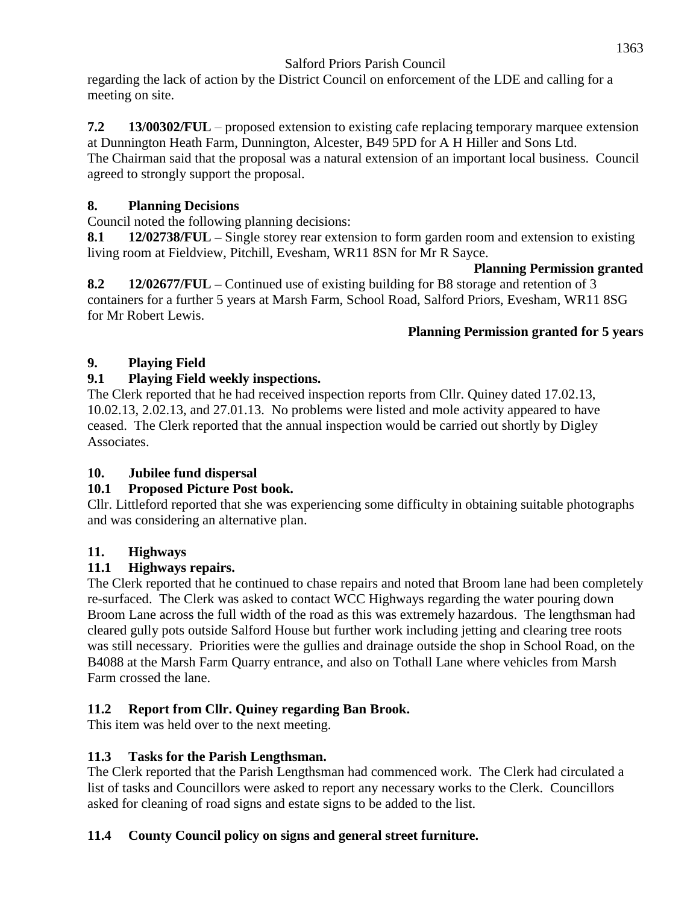regarding the lack of action by the District Council on enforcement of the LDE and calling for a meeting on site.

#### **7.2 13/00302/FUL** – proposed extension to existing cafe replacing temporary marquee extension at Dunnington Heath Farm, Dunnington, Alcester, B49 5PD for A H Hiller and Sons Ltd.

The Chairman said that the proposal was a natural extension of an important local business. Council agreed to strongly support the proposal.

## **8. Planning Decisions**

Council noted the following planning decisions:

**8.1 12/02738/FUL –** Single storey rear extension to form garden room and extension to existing living room at Fieldview, Pitchill, Evesham, WR11 8SN for Mr R Sayce.

#### **Planning Permission granted**

**8.2 12/02677/FUL –** Continued use of existing building for B8 storage and retention of 3 containers for a further 5 years at Marsh Farm, School Road, Salford Priors, Evesham, WR11 8SG for Mr Robert Lewis.

### **Planning Permission granted for 5 years**

## **9. Playing Field**

### **9.1 Playing Field weekly inspections.**

The Clerk reported that he had received inspection reports from Cllr. Quiney dated 17.02.13, 10.02.13, 2.02.13, and 27.01.13. No problems were listed and mole activity appeared to have ceased. The Clerk reported that the annual inspection would be carried out shortly by Digley Associates.

### **10. Jubilee fund dispersal**

## **10.1 Proposed Picture Post book.**

Cllr. Littleford reported that she was experiencing some difficulty in obtaining suitable photographs and was considering an alternative plan.

### **11. Highways**

## **11.1 Highways repairs.**

The Clerk reported that he continued to chase repairs and noted that Broom lane had been completely re-surfaced. The Clerk was asked to contact WCC Highways regarding the water pouring down Broom Lane across the full width of the road as this was extremely hazardous. The lengthsman had cleared gully pots outside Salford House but further work including jetting and clearing tree roots was still necessary. Priorities were the gullies and drainage outside the shop in School Road, on the B4088 at the Marsh Farm Quarry entrance, and also on Tothall Lane where vehicles from Marsh Farm crossed the lane.

## **11.2 Report from Cllr. Quiney regarding Ban Brook.**

This item was held over to the next meeting.

### **11.3 Tasks for the Parish Lengthsman.**

The Clerk reported that the Parish Lengthsman had commenced work. The Clerk had circulated a list of tasks and Councillors were asked to report any necessary works to the Clerk. Councillors asked for cleaning of road signs and estate signs to be added to the list.

## **11.4 County Council policy on signs and general street furniture.**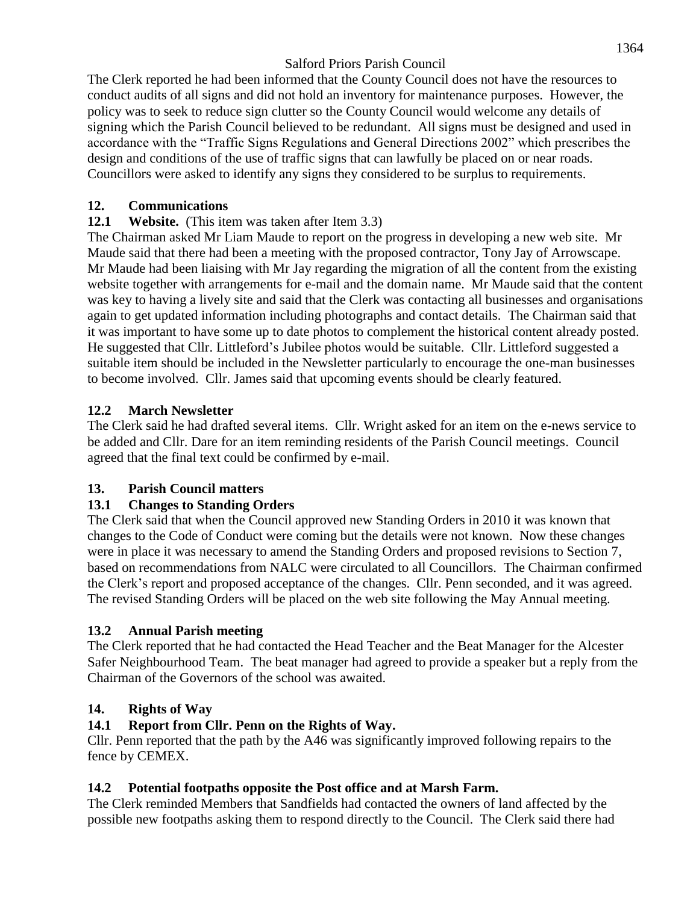The Clerk reported he had been informed that the County Council does not have the resources to conduct audits of all signs and did not hold an inventory for maintenance purposes. However, the policy was to seek to reduce sign clutter so the County Council would welcome any details of signing which the Parish Council believed to be redundant. All signs must be designed and used in accordance with the "Traffic Signs Regulations and General Directions 2002" which prescribes the design and conditions of the use of traffic signs that can lawfully be placed on or near roads. Councillors were asked to identify any signs they considered to be surplus to requirements.

### **12. Communications**

## **12.1 Website.** (This item was taken after Item 3.3)

The Chairman asked Mr Liam Maude to report on the progress in developing a new web site. Mr Maude said that there had been a meeting with the proposed contractor, Tony Jay of Arrowscape. Mr Maude had been liaising with Mr Jay regarding the migration of all the content from the existing website together with arrangements for e-mail and the domain name. Mr Maude said that the content was key to having a lively site and said that the Clerk was contacting all businesses and organisations again to get updated information including photographs and contact details. The Chairman said that it was important to have some up to date photos to complement the historical content already posted. He suggested that Cllr. Littleford's Jubilee photos would be suitable. Cllr. Littleford suggested a suitable item should be included in the Newsletter particularly to encourage the one-man businesses to become involved. Cllr. James said that upcoming events should be clearly featured.

## **12.2 March Newsletter**

The Clerk said he had drafted several items. Cllr. Wright asked for an item on the e-news service to be added and Cllr. Dare for an item reminding residents of the Parish Council meetings. Council agreed that the final text could be confirmed by e-mail.

### **13. Parish Council matters**

## **13.1 Changes to Standing Orders**

The Clerk said that when the Council approved new Standing Orders in 2010 it was known that changes to the Code of Conduct were coming but the details were not known. Now these changes were in place it was necessary to amend the Standing Orders and proposed revisions to Section 7, based on recommendations from NALC were circulated to all Councillors. The Chairman confirmed the Clerk's report and proposed acceptance of the changes. Cllr. Penn seconded, and it was agreed. The revised Standing Orders will be placed on the web site following the May Annual meeting.

### **13.2 Annual Parish meeting**

The Clerk reported that he had contacted the Head Teacher and the Beat Manager for the Alcester Safer Neighbourhood Team. The beat manager had agreed to provide a speaker but a reply from the Chairman of the Governors of the school was awaited.

## **14. Rights of Way**

## **14.1 Report from Cllr. Penn on the Rights of Way.**

Cllr. Penn reported that the path by the A46 was significantly improved following repairs to the fence by CEMEX.

### **14.2 Potential footpaths opposite the Post office and at Marsh Farm.**

The Clerk reminded Members that Sandfields had contacted the owners of land affected by the possible new footpaths asking them to respond directly to the Council. The Clerk said there had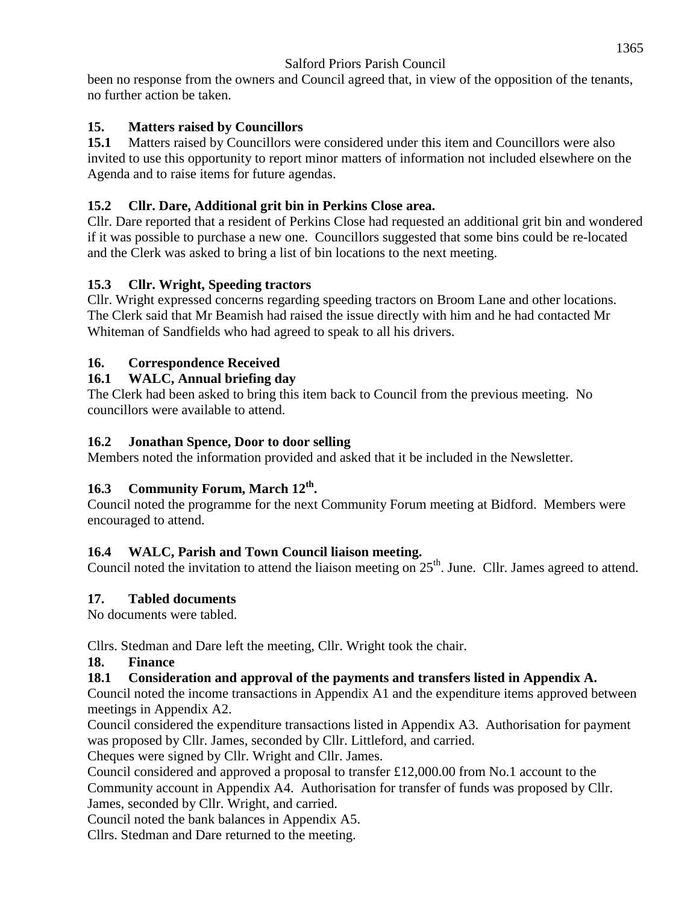been no response from the owners and Council agreed that, in view of the opposition of the tenants, no further action be taken.

## **15. Matters raised by Councillors**

**15.1** Matters raised by Councillors were considered under this item and Councillors were also invited to use this opportunity to report minor matters of information not included elsewhere on the Agenda and to raise items for future agendas.

## **15.2 Cllr. Dare, Additional grit bin in Perkins Close area.**

Cllr. Dare reported that a resident of Perkins Close had requested an additional grit bin and wondered if it was possible to purchase a new one. Councillors suggested that some bins could be re-located and the Clerk was asked to bring a list of bin locations to the next meeting.

### **15.3 Cllr. Wright, Speeding tractors**

Cllr. Wright expressed concerns regarding speeding tractors on Broom Lane and other locations. The Clerk said that Mr Beamish had raised the issue directly with him and he had contacted Mr Whiteman of Sandfields who had agreed to speak to all his drivers.

## **16. Correspondence Received**

## **16.1 WALC, Annual briefing day**

The Clerk had been asked to bring this item back to Council from the previous meeting. No councillors were available to attend.

### **16.2 Jonathan Spence, Door to door selling**

Members noted the information provided and asked that it be included in the Newsletter.

## **16.3 Community Forum, March 12th .**

Council noted the programme for the next Community Forum meeting at Bidford. Members were encouraged to attend.

## **16.4 WALC, Parish and Town Council liaison meeting.**

Council noted the invitation to attend the liaison meeting on  $25<sup>th</sup>$ . June. Cllr. James agreed to attend.

### **17. Tabled documents**

No documents were tabled.

Cllrs. Stedman and Dare left the meeting, Cllr. Wright took the chair.

### **18. Finance**

### **18.1 Consideration and approval of the payments and transfers listed in Appendix A.**

Council noted the income transactions in Appendix A1 and the expenditure items approved between meetings in Appendix A2.

Council considered the expenditure transactions listed in Appendix A3. Authorisation for payment was proposed by Cllr. James, seconded by Cllr. Littleford, and carried.

Cheques were signed by Cllr. Wright and Cllr. James.

Council considered and approved a proposal to transfer £12,000.00 from No.1 account to the Community account in Appendix A4. Authorisation for transfer of funds was proposed by Cllr. James, seconded by Cllr. Wright, and carried.

Council noted the bank balances in Appendix A5.

Cllrs. Stedman and Dare returned to the meeting.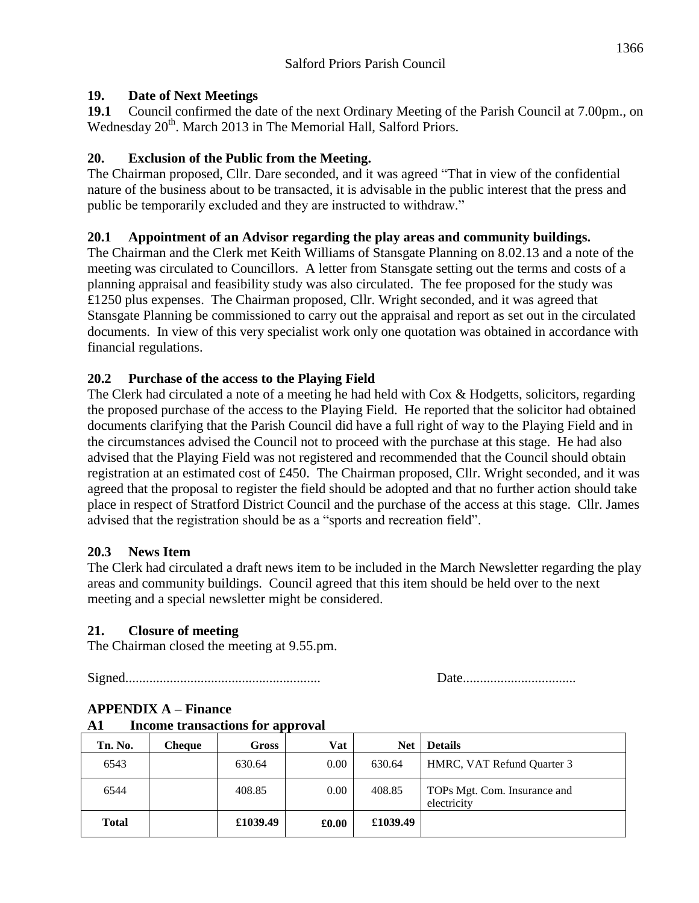#### **19. Date of Next Meetings**

**19.1** Council confirmed the date of the next Ordinary Meeting of the Parish Council at 7.00pm., on Wednesday 20<sup>th</sup>. March 2013 in The Memorial Hall, Salford Priors.

### **20. Exclusion of the Public from the Meeting.**

The Chairman proposed, Cllr. Dare seconded, and it was agreed "That in view of the confidential nature of the business about to be transacted, it is advisable in the public interest that the press and public be temporarily excluded and they are instructed to withdraw."

## **20.1 Appointment of an Advisor regarding the play areas and community buildings.**

The Chairman and the Clerk met Keith Williams of Stansgate Planning on 8.02.13 and a note of the meeting was circulated to Councillors. A letter from Stansgate setting out the terms and costs of a planning appraisal and feasibility study was also circulated. The fee proposed for the study was £1250 plus expenses. The Chairman proposed, Cllr. Wright seconded, and it was agreed that Stansgate Planning be commissioned to carry out the appraisal and report as set out in the circulated documents. In view of this very specialist work only one quotation was obtained in accordance with financial regulations.

## **20.2 Purchase of the access to the Playing Field**

The Clerk had circulated a note of a meeting he had held with Cox & Hodgetts, solicitors, regarding the proposed purchase of the access to the Playing Field. He reported that the solicitor had obtained documents clarifying that the Parish Council did have a full right of way to the Playing Field and in the circumstances advised the Council not to proceed with the purchase at this stage. He had also advised that the Playing Field was not registered and recommended that the Council should obtain registration at an estimated cost of £450. The Chairman proposed, Cllr. Wright seconded, and it was agreed that the proposal to register the field should be adopted and that no further action should take place in respect of Stratford District Council and the purchase of the access at this stage. Cllr. James advised that the registration should be as a "sports and recreation field".

### **20.3 News Item**

The Clerk had circulated a draft news item to be included in the March Newsletter regarding the play areas and community buildings. Council agreed that this item should be held over to the next meeting and a special newsletter might be considered.

### **21. Closure of meeting**

The Chairman closed the meeting at 9.55.pm.

Signed......................................................... Date.................................

| Tn. No.      | <b>Cheque</b> | Gross    | Vat   | <b>Net</b> | <b>Details</b>                              |
|--------------|---------------|----------|-------|------------|---------------------------------------------|
| 6543         |               | 630.64   | 0.00  | 630.64     | HMRC, VAT Refund Quarter 3                  |
| 6544         |               | 408.85   | 0.00  | 408.85     | TOPs Mgt. Com. Insurance and<br>electricity |
| <b>Total</b> |               | £1039.49 | £0.00 | £1039.49   |                                             |

# **APPENDIX A – Finance**

**A1 Income transactions for approval**